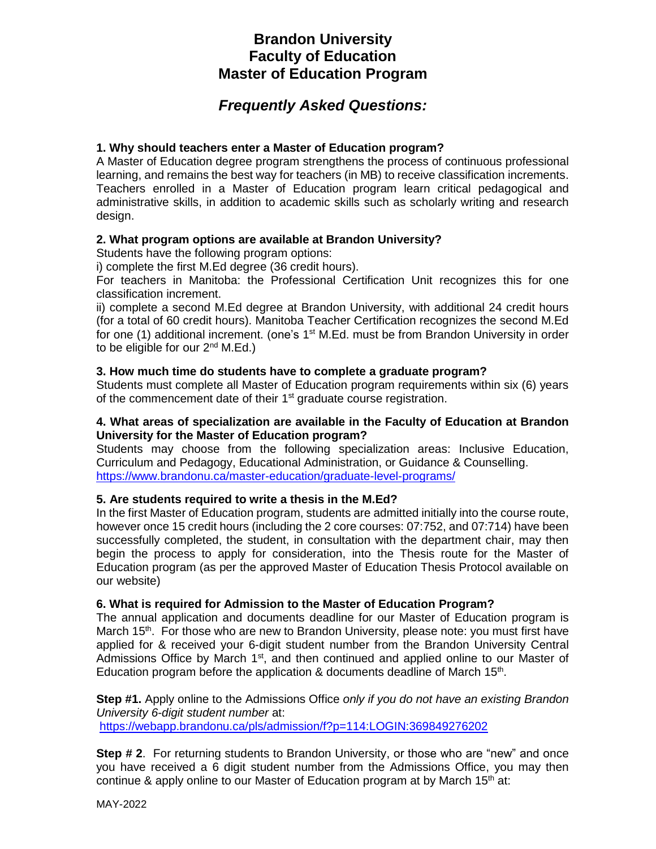# **Brandon University Faculty of Education Master of Education Program**

## *Frequently Asked Questions:*

## **1. Why should teachers enter a Master of Education program?**

A Master of Education degree program strengthens the process of continuous professional learning, and remains the best way for teachers (in MB) to receive classification increments. Teachers enrolled in a Master of Education program learn critical pedagogical and administrative skills, in addition to academic skills such as scholarly writing and research design.

### **2. What program options are available at Brandon University?**

Students have the following program options:

i) complete the first M.Ed degree (36 credit hours).

For teachers in Manitoba: the Professional Certification Unit recognizes this for one classification increment.

ii) complete a second M.Ed degree at Brandon University, with additional 24 credit hours (for a total of 60 credit hours). Manitoba Teacher Certification recognizes the second M.Ed for one (1) additional increment. (one's 1<sup>st</sup> M.Ed. must be from Brandon University in order to be eligible for our  $2^{nd}$  M.Ed.)

#### **3. How much time do students have to complete a graduate program?**

Students must complete all Master of Education program requirements within six (6) years of the commencement date of their 1<sup>st</sup> graduate course registration.

#### **4. What areas of specialization are available in the Faculty of Education at Brandon University for the Master of Education program?**

Students may choose from the following specialization areas: Inclusive Education, Curriculum and Pedagogy, Educational Administration, or Guidance & Counselling. <https://www.brandonu.ca/master-education/graduate-level-programs/>

#### **5. Are students required to write a thesis in the M.Ed?**

In the first Master of Education program, students are admitted initially into the course route, however once 15 credit hours (including the 2 core courses: 07:752, and 07:714) have been successfully completed, the student, in consultation with the department chair, may then begin the process to apply for consideration, into the Thesis route for the Master of Education program (as per the approved Master of Education Thesis Protocol available on our website)

#### **6. What is required for Admission to the Master of Education Program?**

The annual application and documents deadline for our Master of Education program is March 15<sup>th</sup>. For those who are new to Brandon University, please note: you must first have applied for & received your 6-digit student number from the Brandon University Central Admissions Office by March  $1<sup>st</sup>$ , and then continued and applied online to our Master of Education program before the application  $\&$  documents deadline of March 15<sup>th</sup>.

**Step #1.** Apply online to the Admissions Office *only if you do not have an existing Brandon University 6-digit student number* at: <https://webapp.brandonu.ca/pls/admission/f?p=114:LOGIN:369849276202>

**Step # 2**. For returning students to Brandon University, or those who are "new" and once you have received a 6 digit student number from the Admissions Office, you may then continue & apply online to our Master of Education program at by March  $15<sup>th</sup>$  at: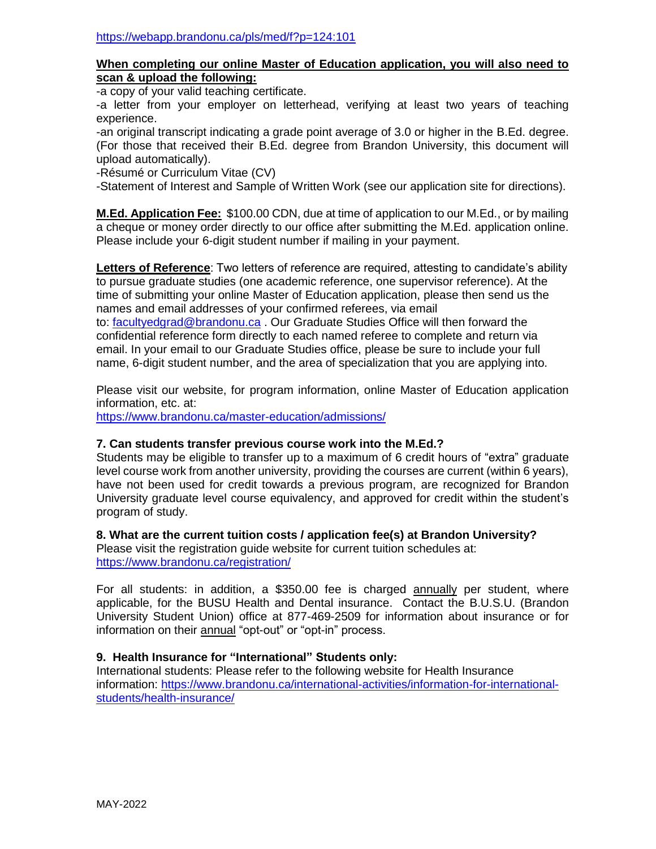#### **When completing our online Master of Education application, you will also need to scan & upload the following:**

-a copy of your valid teaching certificate.

-a letter from your employer on letterhead, verifying at least two years of teaching experience.

-an original transcript indicating a grade point average of 3.0 or higher in the B.Ed. degree. (For those that received their B.Ed. degree from Brandon University, this document will upload automatically).

-Résumé or Curriculum Vitae (CV)

-Statement of Interest and Sample of Written Work (see our application site for directions).

**M.Ed. Application Fee:** \$100.00 CDN, due at time of application to our M.Ed., or by mailing a cheque or money order directly to our office after submitting the M.Ed. application online. Please include your 6-digit student number if mailing in your payment.

**Letters of Reference**: Two letters of reference are required, attesting to candidate's ability to pursue graduate studies (one academic reference, one supervisor reference). At the time of submitting your online Master of Education application, please then send us the names and email addresses of your confirmed referees, via email

to: [facultyedgrad@brandonu.ca](mailto:facultyedgrad@brandonu.ca) . Our Graduate Studies Office will then forward the confidential reference form directly to each named referee to complete and return via email. In your email to our Graduate Studies office, please be sure to include your full name, 6-digit student number, and the area of specialization that you are applying into.

Please visit our website, for program information, online Master of Education application information, etc. at:

<https://www.brandonu.ca/master-education/admissions/>

#### **7. Can students transfer previous course work into the M.Ed.?**

Students may be eligible to transfer up to a maximum of 6 credit hours of "extra" graduate level course work from another university, providing the courses are current (within 6 years), have not been used for credit towards a previous program, are recognized for Brandon University graduate level course equivalency, and approved for credit within the student's program of study.

#### **8. What are the current tuition costs / application fee(s) at Brandon University?**

Please visit the registration guide website for current tuition schedules at: <https://www.brandonu.ca/registration/>

For all students: in addition, a \$350.00 fee is charged annually per student, where applicable, for the BUSU Health and Dental insurance. Contact the B.U.S.U. (Brandon University Student Union) office at 877-469-2509 for information about insurance or for information on their annual "opt-out" or "opt-in" process.

## **9. Health Insurance for "International" Students only:**

 International students: Please refer to the following website for Health Insurance information: [https://www.brandonu.ca/international-activities/information-for-international](https://www.brandonu.ca/international-activities/information-for-international-students/health-insurance/)[students/health-insurance/](https://www.brandonu.ca/international-activities/information-for-international-students/health-insurance/)